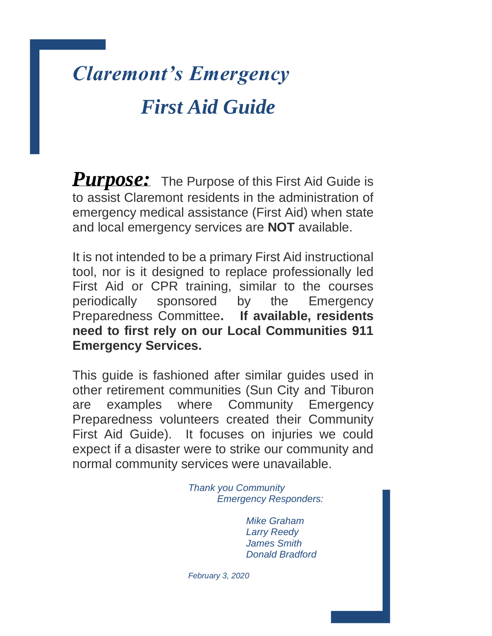# *Claremont's Emergency First Aid Guide*

*Purpose:* The Purpose of this First Aid Guide is to assist Claremont residents in the administration of emergency medical assistance (First Aid) when state and local emergency services are **NOT** available.

It is not intended to be a primary First Aid instructional tool, nor is it designed to replace professionally led First Aid or CPR training, similar to the courses periodically sponsored by the Emergency Preparedness Committee**. If available, residents need to first rely on our Local Communities 911 Emergency Services.** 

This guide is fashioned after similar guides used in other retirement communities (Sun City and Tiburon are examples where Community Emergency Preparedness volunteers created their Community First Aid Guide). It focuses on injuries we could expect if a disaster were to strike our community and normal community services were unavailable.

> *Thank you Community Emergency Responders:*

> > *Mike Graham Larry Reedy James Smith Donald Bradford*

 *February 3, 2020*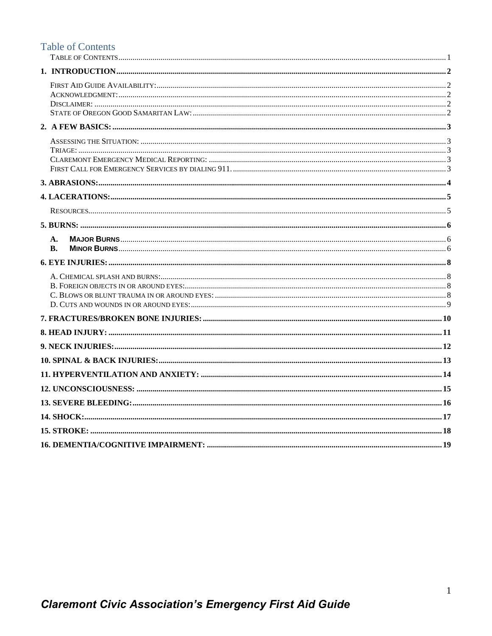# <span id="page-1-0"></span>**Table of Contents**

| A.        |  |
|-----------|--|
| <b>B.</b> |  |
|           |  |
|           |  |
|           |  |
|           |  |
|           |  |
|           |  |
|           |  |
|           |  |
|           |  |
|           |  |
|           |  |
|           |  |
|           |  |
|           |  |
|           |  |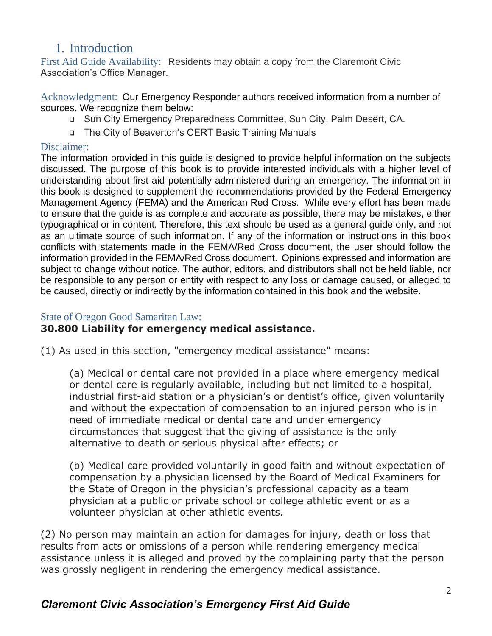# 1. Introduction

<span id="page-2-1"></span><span id="page-2-0"></span>First Aid Guide Availability: Residents may obtain a copy from the Claremont Civic Association's Office Manager.

<span id="page-2-2"></span>Acknowledgment: Our Emergency Responder authors received information from a number of sources. We recognize them below:

- ❑ Sun City Emergency Preparedness Committee, Sun City, Palm Desert, CA.
- ❑ The City of Beaverton's CERT Basic Training Manuals

#### <span id="page-2-3"></span>Disclaimer:

The information provided in this guide is designed to provide helpful information on the subjects discussed. The purpose of this book is to provide interested individuals with a higher level of understanding about first aid potentially administered during an emergency. The information in this book is designed to supplement the recommendations provided by the Federal Emergency Management Agency (FEMA) and the American Red Cross. While every effort has been made to ensure that the guide is as complete and accurate as possible, there may be mistakes, either typographical or in content. Therefore, this text should be used as a general guide only, and not as an ultimate source of such information. If any of the information or instructions in this book conflicts with statements made in the FEMA/Red Cross document, the user should follow the information provided in the FEMA/Red Cross document. Opinions expressed and information are subject to change without notice. The author, editors, and distributors shall not be held liable, nor be responsible to any person or entity with respect to any loss or damage caused, or alleged to be caused, directly or indirectly by the information contained in this book and the website.

#### <span id="page-2-4"></span>State of Oregon Good Samaritan Law:

# **30.800 Liability for emergency medical assistance.**

(1) As used in this section, "emergency medical assistance" means:

(a) Medical or dental care not provided in a place where emergency medical or dental care is regularly available, including but not limited to a hospital, industrial first-aid station or a physician's or dentist's office, given voluntarily and without the expectation of compensation to an injured person who is in need of immediate medical or dental care and under emergency circumstances that suggest that the giving of assistance is the only alternative to death or serious physical after effects; or

(b) Medical care provided voluntarily in good faith and without expectation of compensation by a physician licensed by the Board of Medical Examiners for the State of Oregon in the physician's professional capacity as a team physician at a public or private school or college athletic event or as a volunteer physician at other athletic events.

(2) No person may maintain an action for damages for injury, death or loss that results from acts or omissions of a person while rendering emergency medical assistance unless it is alleged and proved by the complaining party that the person was grossly negligent in rendering the emergency medical assistance.

# *Claremont Civic Association's Emergency First Aid Guide*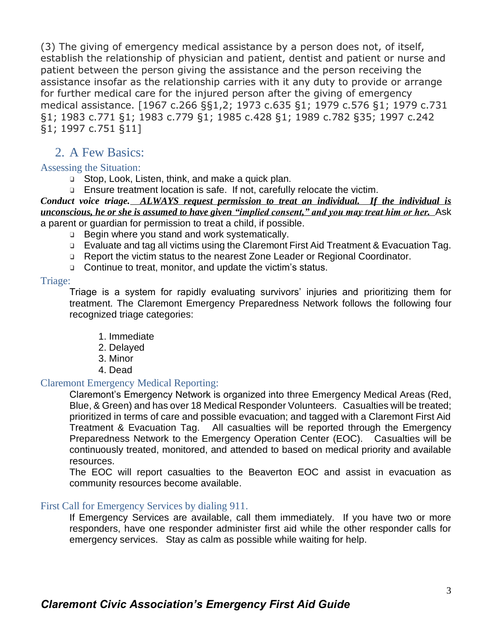(3) The giving of emergency medical assistance by a person does not, of itself, establish the relationship of physician and patient, dentist and patient or nurse and patient between the person giving the assistance and the person receiving the assistance insofar as the relationship carries with it any duty to provide or arrange for further medical care for the injured person after the giving of emergency medical assistance. [1967 c.266 §§1,2; 1973 c.635 §1; 1979 c.576 §1; 1979 c.731 §1; 1983 c.771 §1; 1983 c.779 §1; 1985 c.428 §1; 1989 c.782 §35; 1997 c.242 §1; 1997 c.751 §11]

# <span id="page-3-0"></span>2. A Few Basics:

#### <span id="page-3-1"></span>Assessing the Situation:

- ❑ Stop, Look, Listen, think, and make a quick plan.
- ❑ Ensure treatment location is safe. If not, carefully relocate the victim.

*Conduct voice triage. ALWAYS request permission to treat an individual. If the individual is unconscious, he or she is assumed to have given "implied consent," and you may treat him or her.* Ask a parent or guardian for permission to treat a child, if possible.

- ❑ Begin where you stand and work systematically.
- ❑ Evaluate and tag all victims using the Claremont First Aid Treatment & Evacuation Tag.
- ❑ Report the victim status to the nearest Zone Leader or Regional Coordinator.
- ❑ Continue to treat, monitor, and update the victim's status.

#### <span id="page-3-2"></span>Triage:

Triage is a system for rapidly evaluating survivors' injuries and prioritizing them for treatment. The Claremont Emergency Preparedness Network follows the following four recognized triage categories:

- 1. Immediate
- 2. Delayed
- 3. Minor
- 4. Dead

#### <span id="page-3-3"></span>Claremont Emergency Medical Reporting:

Claremont's Emergency Network is organized into three Emergency Medical Areas (Red, Blue, & Green) and has over 18 Medical Responder Volunteers. Casualties will be treated; prioritized in terms of care and possible evacuation; and tagged with a Claremont First Aid Treatment & Evacuation Tag. All casualties will be reported through the Emergency Preparedness Network to the Emergency Operation Center (EOC). Casualties will be continuously treated, monitored, and attended to based on medical priority and available resources.

The EOC will report casualties to the Beaverton EOC and assist in evacuation as community resources become available.

#### <span id="page-3-4"></span>First Call for Emergency Services by dialing 911.

If Emergency Services are available, call them immediately. If you have two or more responders, have one responder administer first aid while the other responder calls for emergency services. Stay as calm as possible while waiting for help.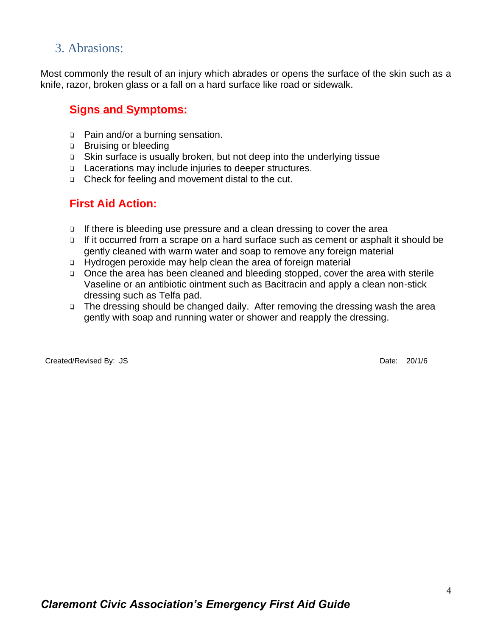# <span id="page-4-0"></span>3. Abrasions:

Most commonly the result of an injury which abrades or opens the surface of the skin such as a knife, razor, broken glass or a fall on a hard surface like road or sidewalk.

#### **Signs and Symptoms:**

- ❑ Pain and/or a burning sensation.
- ❑ Bruising or bleeding
- ❑ Skin surface is usually broken, but not deep into the underlying tissue
- ❑ Lacerations may include injuries to deeper structures.
- ❑ Check for feeling and movement distal to the cut.

#### **First Aid Action:**

- ❑ If there is bleeding use pressure and a clean dressing to cover the area
- ❑ If it occurred from a scrape on a hard surface such as cement or asphalt it should be gently cleaned with warm water and soap to remove any foreign material
- ❑ Hydrogen peroxide may help clean the area of foreign material
- ❑ Once the area has been cleaned and bleeding stopped, cover the area with sterile Vaseline or an antibiotic ointment such as Bacitracin and apply a clean non-stick dressing such as Telfa pad.
- ❑ The dressing should be changed daily. After removing the dressing wash the area gently with soap and running water or shower and reapply the dressing.

Created/Revised By: JS Date: 20/1/6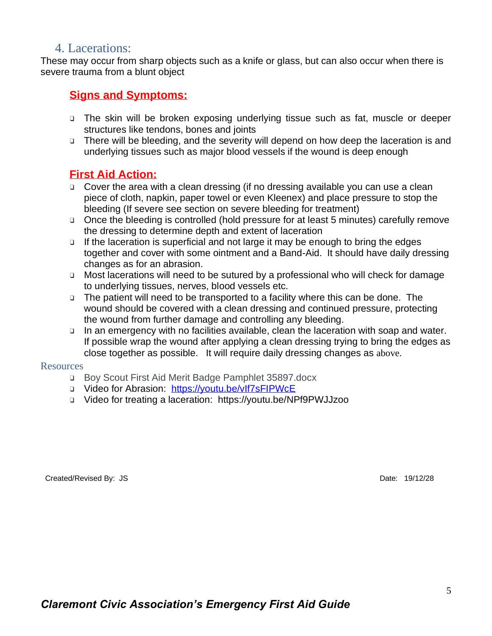# <span id="page-5-0"></span>4. Lacerations:

These may occur from sharp objects such as a knife or glass, but can also occur when there is severe trauma from a blunt object

# **Signs and Symptoms:**

- ❑ The skin will be broken exposing underlying tissue such as fat, muscle or deeper structures like tendons, bones and joints
- ❑ There will be bleeding, and the severity will depend on how deep the laceration is and underlying tissues such as major blood vessels if the wound is deep enough

### **First Aid Action:**

- ❑ Cover the area with a clean dressing (if no dressing available you can use a clean piece of cloth, napkin, paper towel or even Kleenex) and place pressure to stop the bleeding (If severe see section on severe bleeding for treatment)
- ❑ Once the bleeding is controlled (hold pressure for at least 5 minutes) carefully remove the dressing to determine depth and extent of laceration
- ❑ If the laceration is superficial and not large it may be enough to bring the edges together and cover with some ointment and a Band-Aid. It should have daily dressing changes as for an abrasion.
- ❑ Most lacerations will need to be sutured by a professional who will check for damage to underlying tissues, nerves, blood vessels etc.
- ❑ The patient will need to be transported to a facility where this can be done. The wound should be covered with a clean dressing and continued pressure, protecting the wound from further damage and controlling any bleeding.
- ❑ In an emergency with no facilities available, clean the laceration with soap and water. If possible wrap the wound after applying a clean dressing trying to bring the edges as close together as possible. It will require daily dressing changes as above.

#### <span id="page-5-1"></span>Resources

- ❑ Boy Scout First Aid Merit Badge Pamphlet 35897.docx
- ❑ Video for Abrasion: <https://youtu.be/vIf7sFIPWcE>
- ❑ Video for treating a laceration: https://youtu.be/NPf9PWJJzoo

Created/Revised By: JS Date: 19/12/28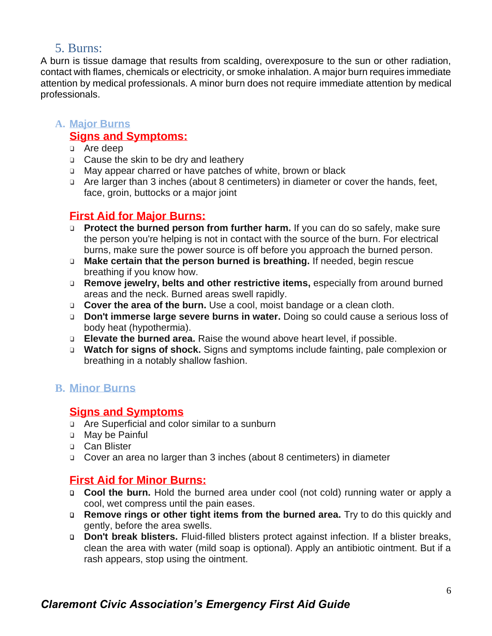# <span id="page-6-0"></span>5. Burns:

A burn is tissue damage that results from scalding, overexposure to the sun or other radiation, contact with flames, chemicals or electricity, or smoke inhalation. A major burn requires immediate attention by medical professionals. A minor burn does not require immediate attention by medical professionals.

#### <span id="page-6-1"></span>**A. Major Burns Signs and Symptoms:**

- ❑ Are deep
- ❑ Cause the skin to be dry and leathery
- ❑ May appear charred or have patches of white, brown or black
- ❑ Are larger than 3 inches (about 8 centimeters) in diameter or cover the hands, feet, face, groin, buttocks or a major joint

# **First Aid for Major Burns:**

- ❑ **Protect the burned person from further harm.** If you can do so safely, make sure the person you're helping is not in contact with the source of the burn. For electrical burns, make sure the power source is off before you approach the burned person.
- ❑ **Make certain that the person burned is breathing.** If needed, begin rescue breathing if you know how.
- ❑ **Remove jewelry, belts and other restrictive items,** especially from around burned areas and the neck. Burned areas swell rapidly.
- ❑ **Cover the area of the burn.** Use a cool, moist bandage or a clean cloth.
- ❑ **Don't immerse large severe burns in water.** Doing so could cause a serious loss of body heat (hypothermia).
- ❑ **Elevate the burned area.** Raise the wound above heart level, if possible.
- ❑ **Watch for signs of shock.** Signs and symptoms include fainting, pale complexion or breathing in a notably shallow fashion.

#### <span id="page-6-2"></span>**B. Minor Burns**

#### **Signs and Symptoms**

- ❑ Are Superficial and color similar to a sunburn
- ❑ May be Painful
- ❑ Can Blister
- ❑ Cover an area no larger than 3 inches (about 8 centimeters) in diameter

# **First Aid for Minor Burns:**

- ❑ **Cool the burn.** Hold the burned area under cool (not cold) running water or apply a cool, wet compress until the pain eases.
- ❑ **Remove rings or other tight items from the burned area.** Try to do this quickly and gently, before the area swells.
- ❑ **Don't break blisters.** Fluid-filled blisters protect against infection. If a blister breaks, clean the area with water (mild soap is optional). Apply an antibiotic ointment. But if a rash appears, stop using the ointment.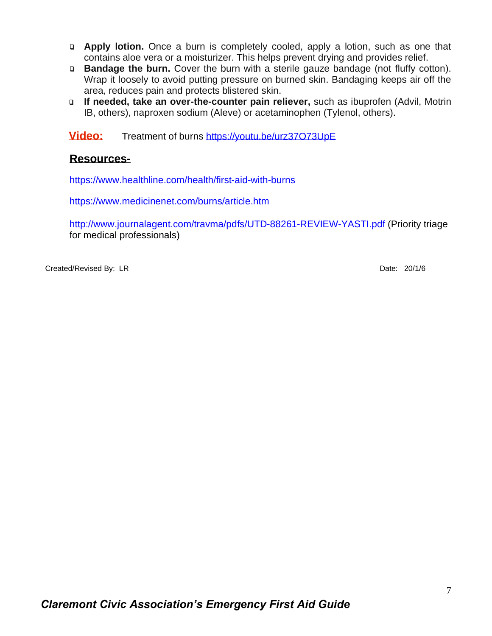- ❑ **Apply lotion.** Once a burn is completely cooled, apply a lotion, such as one that contains aloe vera or a moisturizer. This helps prevent drying and provides relief.
- ❑ **Bandage the burn.** Cover the burn with a sterile gauze bandage (not fluffy cotton). Wrap it loosely to avoid putting pressure on burned skin. Bandaging keeps air off the area, reduces pain and protects blistered skin.
- ❑ **If needed, take an over-the-counter pain reliever,** such as ibuprofen (Advil, Motrin IB, others), naproxen sodium (Aleve) or acetaminophen (Tylenol, others).

 **Video:** [Treatment of burns https://youtu.be/urz37O73UpE](/Users/georgeheyworth/Library/Containers/com.apple.mail/Data/Library/Mail%20Downloads/22E45369-A021-44E9-B587-DD6366826879/Treatment%20of%20burns%20https:/youtu.be/urz37O73UpE)

#### **Resources-**

<https://www.healthline.com/health/first-aid-with-burns>

<https://www.medicinenet.com/burns/article.htm>

<http://www.journalagent.com/travma/pdfs/UTD-88261-REVIEW-YASTI.pdf> (Priority triage for medical professionals)

Created/Revised By: LR Date: 20/1/6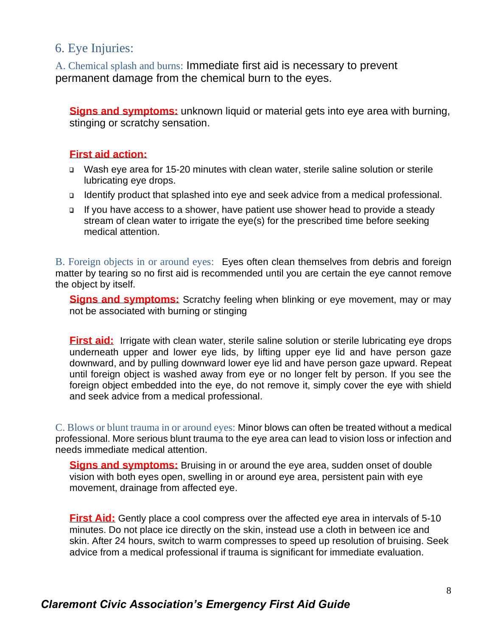# <span id="page-8-0"></span>6. Eye Injuries:

<span id="page-8-1"></span>A. Chemical splash and burns: Immediate first aid is necessary to prevent permanent damage from the chemical burn to the eyes.

**Signs and symptoms:** unknown liquid or material gets into eye area with burning, stinging or scratchy sensation.

#### **First aid action:**

- Wash eye area for 15-20 minutes with clean water, sterile saline solution or sterile lubricating eye drops.
- Identify product that splashed into eye and seek advice from a medical professional.
- If you have access to a shower, have patient use shower head to provide a steady stream of clean water to irrigate the eye(s) for the prescribed time before seeking medical attention.

<span id="page-8-2"></span>B. Foreign objects in or around eyes: Eyes often clean themselves from debris and foreign matter by tearing so no first aid is recommended until you are certain the eye cannot remove the object by itself.

**Signs and symptoms:** Scratchy feeling when blinking or eye movement, may or may not be associated with burning or stinging

**First aid:** Irrigate with clean water, sterile saline solution or sterile lubricating eye drops underneath upper and lower eye lids, by lifting upper eye lid and have person gaze downward, and by pulling downward lower eye lid and have person gaze upward. Repeat until foreign object is washed away from eye or no longer felt by person. If you see the foreign object embedded into the eye, do not remove it, simply cover the eye with shield and seek advice from a medical professional.

<span id="page-8-3"></span>C. Blows or blunt trauma in or around eyes: Minor blows can often be treated without a medical professional. More serious blunt trauma to the eye area can lead to vision loss or infection and needs immediate medical attention.

**Signs and symptoms:** Bruising in or around the eye area, sudden onset of double vision with both eyes open, swelling in or around eye area, persistent pain with eye movement, drainage from affected eye.

**First Aid:** Gently place a cool compress over the affected eye area in intervals of 5-10 minutes. Do not place ice directly on the skin, instead use a cloth in between ice and skin. After 24 hours, switch to warm compresses to speed up resolution of bruising. Seek advice from a medical professional if trauma is significant for immediate evaluation.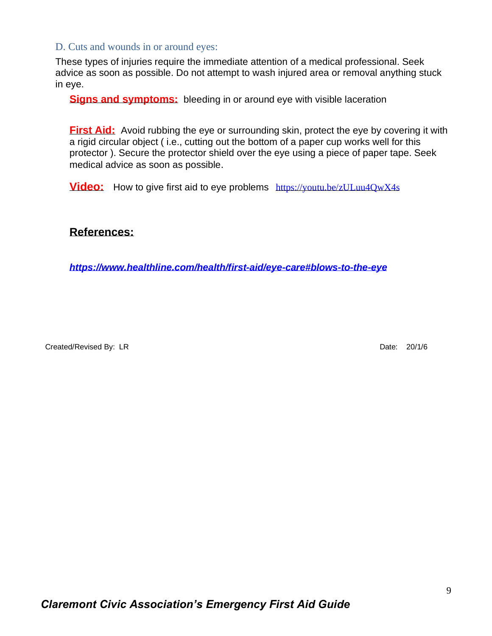#### <span id="page-9-0"></span>D. Cuts and wounds in or around eyes:

These types of injuries require the immediate attention of a medical professional. Seek advice as soon as possible. Do not attempt to wash injured area or removal anything stuck in eye.

**Signs and symptoms:** bleeding in or around eye with visible laceration

**First Aid:** Avoid rubbing the eye or surrounding skin, protect the eye by covering it with a rigid circular object ( i.e., cutting out the bottom of a paper cup works well for this protector ). Secure the protector shield over the eye using a piece of paper tape. Seek medical advice as soon as possible.

**Video:** How to give first aid to eye problems <https://youtu.be/zULuu4QwX4s>

#### **References:**

*<https://www.healthline.com/health/first-aid/eye-care#blows-to-the-eye>*

Created/Revised By: LR Date: 20/1/6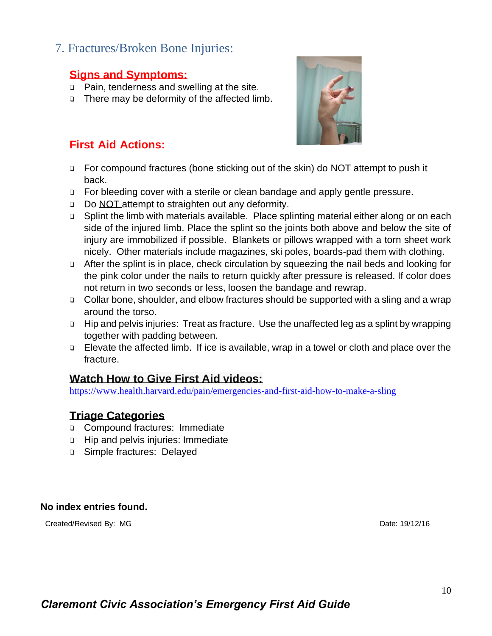# <span id="page-10-0"></span>7. Fractures/Broken Bone Injuries:

### **Signs and Symptoms:**

- ❑ Pain, tenderness and swelling at the site.
- ❑ There may be deformity of the affected limb.



# **First Aid Actions:**

- ❑ For compound fractures (bone sticking out of the skin) do NOT attempt to push it back.
- ❑ For bleeding cover with a sterile or clean bandage and apply gentle pressure.
- ❑ Do NOT attempt to straighten out any deformity.
- ❑ Splint the limb with materials available. Place splinting material either along or on each side of the injured limb. Place the splint so the joints both above and below the site of injury are immobilized if possible. Blankets or pillows wrapped with a torn sheet work nicely. Other materials include magazines, ski poles, boards-pad them with clothing.
- ❑ After the splint is in place, check circulation by squeezing the nail beds and looking for the pink color under the nails to return quickly after pressure is released. If color does not return in two seconds or less, loosen the bandage and rewrap.
- ❑ Collar bone, shoulder, and elbow fractures should be supported with a sling and a wrap around the torso.
- ❑ Hip and pelvis injuries: Treat as fracture. Use the unaffected leg as a splint by wrapping together with padding between.
- ❑ Elevate the affected limb. If ice is available, wrap in a towel or cloth and place over the fracture.

#### **Watch How to Give First Aid videos:**

<https://www.health.harvard.edu/pain/emergencies-and-first-aid-how-to-make-a-sling>

#### **Triage Categories**

- ❑ Compound fractures: Immediate
- ❑ Hip and pelvis injuries: Immediate
- ❑ Simple fractures: Delayed

#### **No index entries found.**

Created/Revised By: MG **Date: 19/12/16**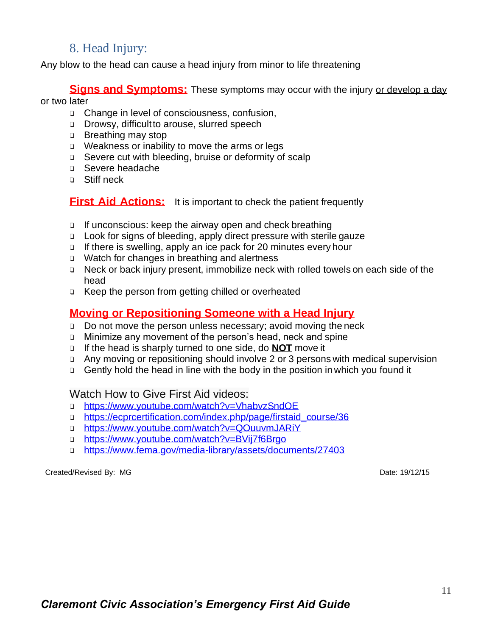# 8. Head Injury:

<span id="page-11-0"></span>Any blow to the head can cause a head injury from minor to life threatening

**Signs and Symptoms:** These symptoms may occur with the injury or develop a day or two later

- ❑ Change in level of consciousness, confusion,
- ❑ Drowsy, difficultto arouse, slurred speech
- ❑ Breathing may stop
- ❑ Weakness or inability to move the arms or legs
- ❑ Severe cut with bleeding, bruise or deformity of scalp
- ❑ Severe headache
- ❑ Stiff neck

**First Aid Actions:** It is important to check the patient frequently

- ❑ If unconscious: keep the airway open and check breathing
- ❑ Look for signs of bleeding, apply direct pressure with sterile gauze
- ❑ If there is swelling, apply an ice pack for 20 minutes every hour
- ❑ Watch for changes in breathing and alertness
- ❑ Neck or back injury present, immobilize neck with rolled towels on each side of the head
- ❑ Keep the person from getting chilled or overheated

# **Moving or Repositioning Someone with a Head Injury**

- ❑ Do not move the person unless necessary; avoid moving the neck
- ❑ Minimize any movement of the person's head, neck and spine
- ❑ If the head is sharply turned to one side, do **NOT** move it
- ❑ Any moving or repositioning should involve 2 or 3 persons with medical supervision
- ❑ Gently hold the head in line with the body in the position in which you found it

#### Watch How to Give First Aid videos:

- ❑ <https://www.youtube.com/watch?v=VhabvzSndOE>
- ❑ [https://ecprcertification.com/index.php/page/firstaid\\_course/36](https://ecprcertification.com/index.php/page/firstaid_course/36)
- ❑ <https://www.youtube.com/watch?v=QOuuvmJARiY>
- ❑ <https://www.youtube.com/watch?v=BVij7f6Brgo>
- ❑ <https://www.fema.gov/media-library/assets/documents/27403>

Created/Revised By: MG **Date: 19/12/15**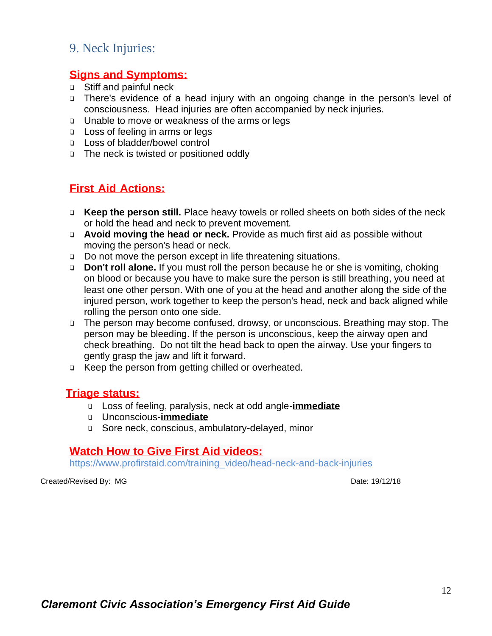# <span id="page-12-0"></span>9. Neck Injuries:

#### **Signs and Symptoms:**

- ❑ Stiff and painful neck
- ❑ There's evidence of a head injury with an ongoing change in the person's level of consciousness. Head injuries are often accompanied by neck injuries.
- ❑ Unable to move or weakness of the arms or legs
- ❑ Loss of feeling in arms or legs
- ❑ Loss of bladder/bowel control
- ❑ The neck is twisted or positioned oddly

### **First Aid Actions:**

- ❑ **Keep the person still.** Place heavy towels or rolled sheets on both sides of the neck or hold the head and neck to prevent movement.
- ❑ **Avoid moving the head or neck.** Provide as much first aid as possible without moving the person's head or neck.
- ❑ Do not move the person except in life threatening situations.
- ❑ **Don't roll alone.** If you must roll the person because he or she is vomiting, choking on blood or because you have to make sure the person is still breathing, you need at least one other person. With one of you at the head and another along the side of the injured person, work together to keep the person's head, neck and back aligned while rolling the person onto one side.
- ❑ The person may become confused, drowsy, or unconscious. Breathing may stop. The person may be bleeding. If the person is unconscious, keep the airway open and check breathing. Do not tilt the head back to open the airway. Use your fingers to gently grasp the jaw and lift it forward.
- ❑ Keep the person from getting chilled or overheated.

#### **Triage status:**

- ❑ Loss of feeling, paralysis, neck at odd angle-**immediate**
- ❑ Unconscious-**immediate**
- ❑ Sore neck, conscious, ambulatory-delayed, minor

#### **Watch How to Give First Aid videos:**

https://www.profirstaid.com/training\_video/head-neck-and-back-injuries

Created/Revised By: MG **Date: 19/12/18**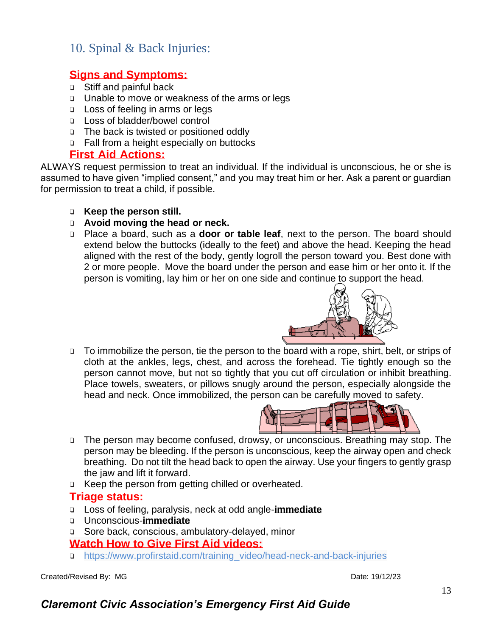# <span id="page-13-0"></span>10. Spinal & Back Injuries:

# **Signs and Symptoms:**

- ❑ Stiff and painful back
- ❑ Unable to move or weakness of the arms or legs
- ❑ Loss of feeling in arms or legs
- ❑ Loss of bladder/bowel control
- ❑ The back is twisted or positioned oddly
- ❑ Fall from a height especially on buttocks

#### **First Aid Actions:**

ALWAYS request permission to treat an individual. If the individual is unconscious, he or she is assumed to have given "implied consent," and you may treat him or her. Ask a parent or guardian for permission to treat a child, if possible.

- ❑ **Keep the person still.**
- ❑ **Avoid moving the head or neck.**
- ❑ Place a board, such as a **door or table leaf**, next to the person. The board should extend below the buttocks (ideally to the feet) and above the head. Keeping the head aligned with the rest of the body, gently logroll the person toward you. Best done with 2 or more people. Move the board under the person and ease him or her onto it. If the person is vomiting, lay him or her on one side and continue to support the head.



❑ To immobilize the person, tie the person to the board with a rope, shirt, belt, or strips of cloth at the ankles, legs, chest, and across the forehead. Tie tightly enough so the person cannot move, but not so tightly that you cut off circulation or inhibit breathing. Place towels, sweaters, or pillows snugly around the person, especially alongside the head and neck. Once immobilized, the person can be carefully moved to safety.



- ❑ The person may become confused, drowsy, or unconscious. Breathing may stop. The person may be bleeding. If the person is unconscious, keep the airway open and check breathing. Do not tilt the head back to open the airway. Use your fingers to gently grasp the jaw and lift it forward.
- ❑ Keep the person from getting chilled or overheated.

#### **Triage status:**

- ❑ Loss of feeling, paralysis, neck at odd angle-**immediate**
- ❑ Unconscious-**immediate**
- ❑ Sore back, conscious, ambulatory-delayed, minor

#### **Watch How to Give First Aid videos:**

❑ https://www.profirstaid.com/training\_video/head-neck-and-back-injuries

Created/Revised By: MG Date: 19/12/23

# *Claremont Civic Association's Emergency First Aid Guide*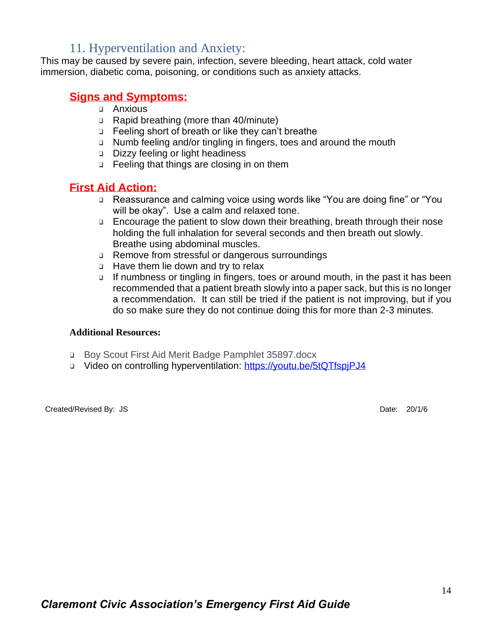# 11. Hyperventilation and Anxiety:

<span id="page-14-0"></span>This may be caused by severe pain, infection, severe bleeding, heart attack, cold water immersion, diabetic coma, poisoning, or conditions such as anxiety attacks.

#### **Signs and Symptoms:**

- ❑ Anxious
- ❑ Rapid breathing (more than 40/minute)
- ❑ Feeling short of breath or like they can't breathe
- ❑ Numb feeling and/or tingling in fingers, toes and around the mouth
- ❑ Dizzy feeling or light headiness
- ❑ Feeling that things are closing in on them

#### **First Aid Action:**

- ❑ Reassurance and calming voice using words like "You are doing fine" or "You will be okay". Use a calm and relaxed tone.
- ❑ Encourage the patient to slow down their breathing, breath through their nose holding the full inhalation for several seconds and then breath out slowly. Breathe using abdominal muscles.
- ❑ Remove from stressful or dangerous surroundings
- ❑ Have them lie down and try to relax
- ❑ If numbness or tingling in fingers, toes or around mouth, in the past it has been recommended that a patient breath slowly into a paper sack, but this is no longer a recommendation. It can still be tried if the patient is not improving, but if you do so make sure they do not continue doing this for more than 2-3 minutes.

#### **Additional Resources:**

- ❑ Boy Scout First Aid Merit Badge Pamphlet 35897.docx
- ❑ Video on controlling hyperventilation:<https://youtu.be/5tQTfspjPJ4>

Created/Revised By: JS Date: 20/1/6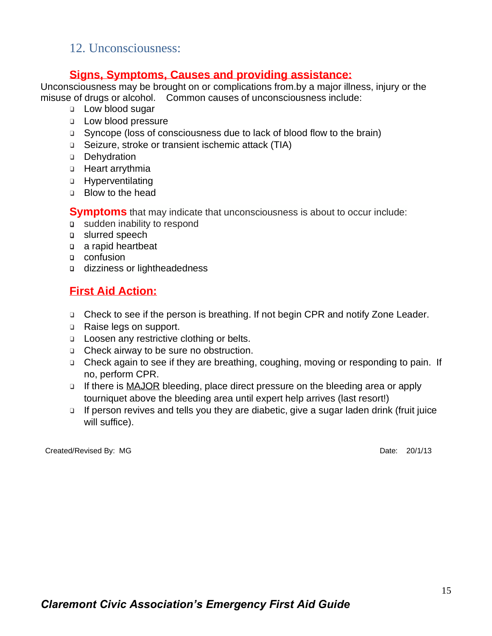# <span id="page-15-0"></span>12. Unconsciousness:

### **Signs, Symptoms, Causes and providing assistance:**

Unconsciousness may be brought on or complications from.by a major illness, injury or the misuse of drugs or alcohol. Common causes of unconsciousness include:

- ❑ Low blood sugar
- ❑ Low blood pressure
- ❑ Syncope (loss of consciousness due to lack of blood flow to the brain)
- ❑ Seizure, stroke or transient ischemic attack (TIA)
- ❑ Dehydration
- ❑ Heart arrythmia
- ❑ Hyperventilating
- ❑ Blow to the head

**Symptoms** that may indicate that unconsciousness is about to occur include:

- ❑ sudden inability to respond
- ❑ [slurred speech](https://www.healthline.com/symptom/speech-impairment)
- ❑ [a rapid heartbeat](https://www.healthline.com/symptom/fast-heart-rate)
- ❑ [confusion](https://www.healthline.com/symptom/confusion)
- ❑ [dizziness](https://www.healthline.com/symptom/dizziness) or [lightheadedness](https://www.healthline.com/health/lightheadedness)

# **First Aid Action:**

- ❑ Check to see if the person is breathing. If not begin CPR and notify Zone Leader.
- ❑ Raise legs on support.
- ❑ Loosen any restrictive clothing or belts.
- ❑ Check airway to be sure no obstruction.
- ❑ Check again to see if they are breathing, coughing, moving or responding to pain. If no, perform CPR.
- ❑ If there is MAJOR bleeding, place direct pressure on the bleeding area or apply tourniquet above the bleeding area until expert help arrives (last resort!)
- ❑ If person revives and tells you they are diabetic, give a sugar laden drink (fruit juice will suffice).

Created/Revised By: MG Date: 20/1/13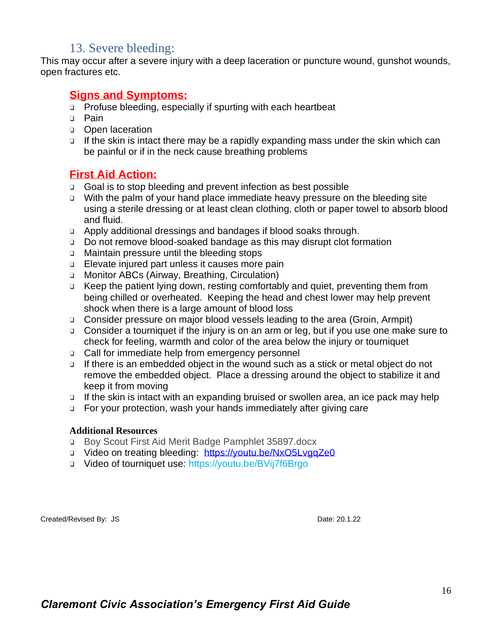# 13. Severe bleeding:

<span id="page-16-0"></span>This may occur after a severe injury with a deep laceration or puncture wound, gunshot wounds, open fractures etc.

#### **Signs and Symptoms:**

- ❑ Profuse bleeding, especially if spurting with each heartbeat
- ❑ Pain
- ❑ Open laceration
- ❑ If the skin is intact there may be a rapidly expanding mass under the skin which can be painful or if in the neck cause breathing problems

#### **First Aid Action:**

- ❑ Goal is to stop bleeding and prevent infection as best possible
- ❑ With the palm of your hand place immediate heavy pressure on the bleeding site using a sterile dressing or at least clean clothing, cloth or paper towel to absorb blood and fluid.
- ❑ Apply additional dressings and bandages if blood soaks through.
- ❑ Do not remove blood-soaked bandage as this may disrupt clot formation
- ❑ Maintain pressure until the bleeding stops
- ❑ Elevate injured part unless it causes more pain
- ❑ Monitor ABCs (Airway, Breathing, Circulation)
- ❑ Keep the patient lying down, resting comfortably and quiet, preventing them from being chilled or overheated. Keeping the head and chest lower may help prevent shock when there is a large amount of blood loss
- ❑ Consider pressure on major blood vessels leading to the area (Groin, Armpit)
- ❑ Consider a tourniquet if the injury is on an arm or leg, but if you use one make sure to check for feeling, warmth and color of the area below the injury or tourniquet
- ❑ Call for immediate help from emergency personnel
- ❑ If there is an embedded object in the wound such as a stick or metal object do not remove the embedded object. Place a dressing around the object to stabilize it and keep it from moving
- ❑ If the skin is intact with an expanding bruised or swollen area, an ice pack may help
- ❑ For your protection, wash your hands immediately after giving care

#### **Additional Resources**

- ❑ Boy Scout First Aid Merit Badge Pamphlet 35897.docx
- ❑ Video on treating bleeding: <https://youtu.be/NxO5LvgqZe0>
- ❑ Video of tourniquet use: https://youtu.be/BVij7f6Brgo

Created/Revised By: JS Date: 20.1.22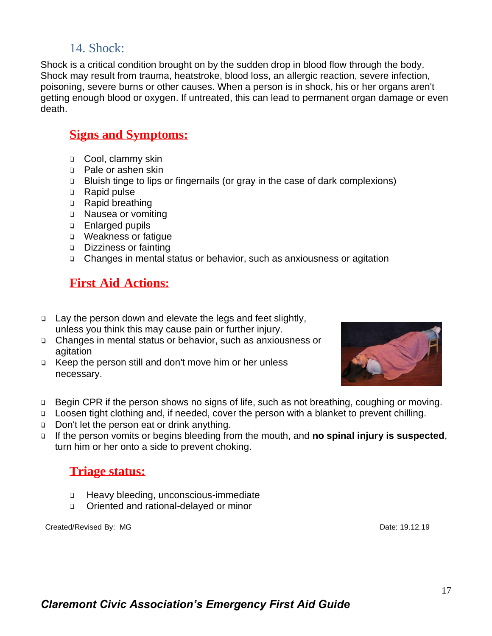# 14. Shock:

<span id="page-17-0"></span>Shock is a critical condition brought on by the sudden drop in blood flow through the body. Shock may result from trauma, heatstroke, blood loss, an allergic reaction, severe infection, poisoning, severe burns or other causes. When a person is in shock, his or her organs aren't getting enough blood or oxygen. If untreated, this can lead to permanent organ damage or even death.

# **Signs and Symptoms:**

- ❑ Cool, clammy skin
- ❑ Pale or ashen skin
- ❑ Bluish tinge to lips or fingernails (or gray in the case of dark complexions)
- ❑ Rapid pulse
- ❑ Rapid breathing
- ❑ Nausea or vomiting
- ❑ Enlarged pupils
- ❑ Weakness or fatigue
- ❑ Dizziness or fainting
- ❑ Changes in mental status or behavior, such as anxiousness or agitation

# **First Aid Actions:**

- ❑ Lay the person down and elevate the legs and feet slightly, unless you think this may cause pain or further injury.
- ❑ Changes in mental status or behavior, such as anxiousness or agitation
- ❑ Keep the person still and don't move him or her unless necessary.



- ❑ Begin CPR if the person shows no signs of life, such as not breathing, coughing or moving.
- ❑ Loosen tight clothing and, if needed, cover the person with a blanket to prevent chilling.
- ❑ Don't let the person eat or drink anything.
- ❑ If the person vomits or begins bleeding from the mouth, and **no spinal injury is suspected**, turn him or her onto a side to prevent choking.

# **Triage status:**

- ❑ Heavy bleeding, unconscious-immediate
- ❑ Oriented and rational-delayed or minor

Created/Revised By: MG **Date: 19.12.19**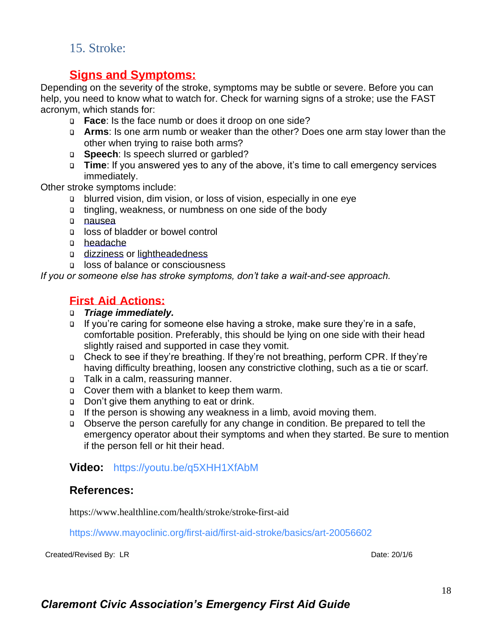# <span id="page-18-0"></span>15. Stroke:

# **Signs and Symptoms:**

Depending on the severity of the stroke, symptoms may be subtle or severe. Before you can help, you need to know what to watch for. Check for [warning signs](https://www.healthline.com/health/stroke/stroke-warning-signs) of a stroke; use the FAST acronym, which stands for:

- ❑ **Face**: Is [the](https://www.healthline.com/health/left-sided-facial-numbness) [face](https://www.healthline.com/health/right-sided-facial-numbness) numb or does it [droop](https://www.healthline.com/health/facial-paralysis) on one side?
- ❑ **Arms**: Is one arm [numb](https://www.healthline.com/symptom/numbness-of-limbs) or [weaker](https://www.healthline.com/symptom/asthenia) than the other? Does one arm stay lower than the other when trying to raise both arms?
- ❑ **Speech**: Is speech [slurred or garbled?](https://www.healthline.com/symptom/speech-impairment)
- ❑ **Time**: If you answered yes to any of the above, it's time to call emergency services immediately.

Other stroke symptoms include:

- ❑ [blurred vision,](https://www.healthline.com/symptom/blurred-vision) dim vision, or [loss of vision,](https://www.healthline.com/symptom/visual-disturbance) especially in one eye
- ❑ tingling, weakness, or [numbness](https://www.healthline.com/symptom/numbness) on one side of the body
- ❑ [nausea](https://www.healthline.com/symptom/nausea)
- ❑ loss of [bladder](https://www.healthline.com/symptom/urinary-incontinence) or [bowel](https://www.healthline.com/symptom/fecal-incontinence) control
- ❑ [headache](https://www.healthline.com/health/headache)
- ❑ [dizziness](https://www.healthline.com/symptom/dizziness) or [lightheadedness](https://www.healthline.com/health/lightheadedness)
- ❑ loss of balance or consciousness

*If you or someone else has stroke symptoms, don't take a wait-and-see approach.* 

# **First Aid Actions:**

#### ❑ *Triage immediately.*

- ❑ If you're caring for someone else having a stroke, make sure they're in a safe, comfortable position. Preferably, this should be lying on one side with their head slightly raised and supported in case they vomit.
- ❑ Check to see if they're breathing. If they're not breathing, perform [CPR.](https://www.healthline.com/health/first-aid/cpr) If they're having [difficulty breathing,](https://www.healthline.com/symptom/difficulty-breathing) loosen any constrictive clothing, such as a tie or scarf.
- ❑ Talk in a calm, reassuring manner.
- ❑ Cover them with a blanket to keep them warm.
- ❑ Don't give them anything to eat or drink.
- ❑ If the person is showing any [weakness](https://www.healthline.com/symptom/muscle-weakness) in a limb, avoid moving them.
- ❑ Observe the person carefully for any change in condition. Be prepared to tell the emergency operator about their symptoms and when they started. Be sure to mention if the person fell or hit their head.

# **Video:** https://youtu.be/q5XHH1XfAbM

#### **References:**

<https://www.healthline.com/health/stroke/stroke-first-aid>

https://www.mayoclinic.org/first-aid/first-aid-stroke/basics/art-20056602

Created/Revised By: LR Date: 20/1/6